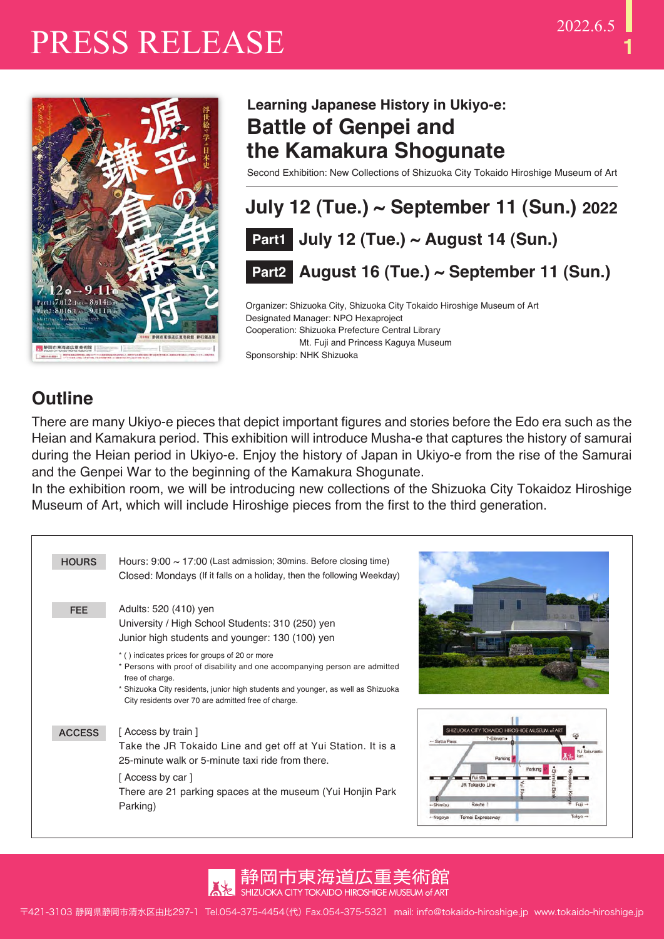

### **Learning Japanese History in Ukiyo-e: Battle of Genpei and the Kamakura Shogunate**

Second Exhibition: New Collections of Shizuoka City Tokaido Hiroshige Museum of Art



Organizer: Shizuoka City, Shizuoka City Tokaido Hiroshige Museum of Art Designated Manager: NPO Hexaproject Cooperation: Shizuoka Prefecture Central Library Mt. Fuji and Princess Kaguya Museum Sponsorship: NHK Shizuoka

### **Outline**

There are many Ukiyo-e pieces that depict important figures and stories before the Edo era such as the Heian and Kamakura period. This exhibition will introduce Musha-e that captures the history of samurai during the Heian period in Ukiyo-e. Enjoy the history of Japan in Ukiyo-e from the rise of the Samurai and the Genpei War to the beginning of the Kamakura Shogunate.

In the exhibition room, we will be introducing new collections of the Shizuoka City Tokaidoz Hiroshige Museum of Art, which will include Hiroshige pieces from the first to the third generation.

| <b>HOURS</b>  | Hours: $9:00 \sim 17:00$ (Last admission; 30mins. Before closing time)<br>Closed: Mondays (If it falls on a holiday, then the following Weekday)                                                                                          |                                                                                                                                                                                                                               |
|---------------|-------------------------------------------------------------------------------------------------------------------------------------------------------------------------------------------------------------------------------------------|-------------------------------------------------------------------------------------------------------------------------------------------------------------------------------------------------------------------------------|
| <b>FEE</b>    | Adults: 520 (410) yen<br>University / High School Students: 310 (250) yen<br>Junior high students and younger: 130 (100) yen<br>* () indicates prices for groups of 20 or more                                                            |                                                                                                                                                                                                                               |
|               | * Persons with proof of disability and one accompanying person are admitted<br>free of charge.<br>* Shizuoka City residents, junior high students and younger, as well as Shizuoka<br>City residents over 70 are admitted free of charge. |                                                                                                                                                                                                                               |
| <b>ACCESS</b> | [Access by train]<br>Take the JR Tokaido Line and get off at Yui Station. It is a<br>25-minute walk or 5-minute taxi ride from there.<br>[ Access by car ]<br>There are 21 parking spaces at the museum (Yui Honjin Park)<br>Parking)     | <b>ILZUOKA CITY TOKAIDO HIROSHICE MUSEUM of</b><br>7-Eleven.<br>- Satta Pass<br>Yui Sakuraetsi<br>Parking<br>Parking<br>Yui sta.<br>JR Tokaido Line<br>Route 1<br>Fuil<br>-Shiminu<br>Tokyo →<br>Tomei Expressway<br>- Nagoya |

静尚市東海道広重美術館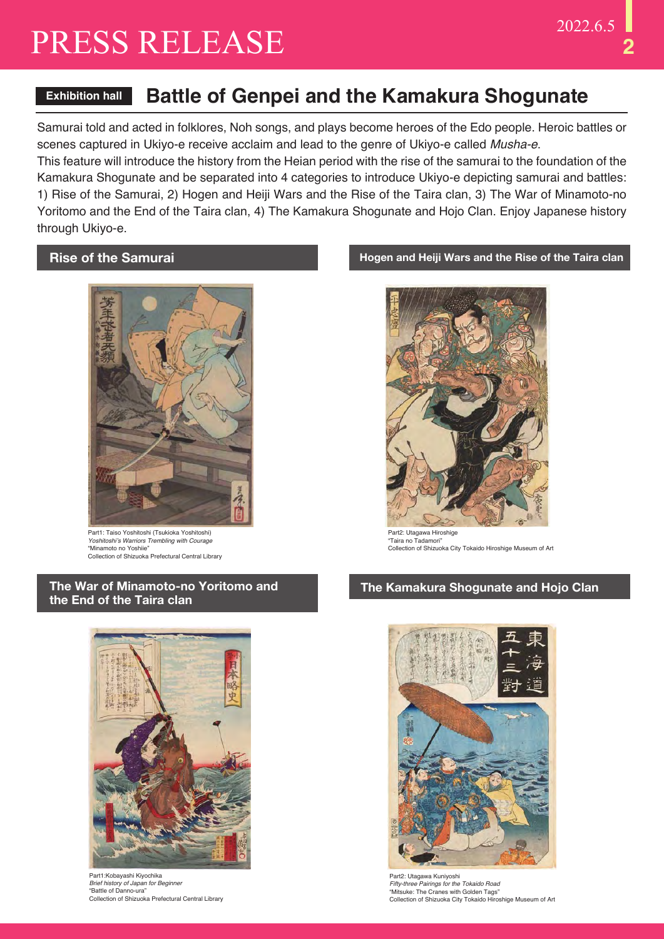### **Exhibition hall Battle of Genpei and the Kamakura Shogunate**

Samurai told and acted in folklores, Noh songs, and plays become heroes of the Edo people. Heroic battles or scenes captured in Ukiyo-e receive acclaim and lead to the genre of Ukiyo-e called *Musha-e*.

This feature will introduce the history from the Heian period with the rise of the samurai to the foundation of the Kamakura Shogunate and be separated into 4 categories to introduce Ukiyo-e depicting samurai and battles: 1) Rise of the Samurai, 2) Hogen and Heiji Wars and the Rise of the Taira clan, 3) The War of Minamoto-no Yoritomo and the End of the Taira clan, 4) The Kamakura Shogunate and Hojo Clan. Enjoy Japanese history through Ukiyo-e.

#### **Rise of the Samurai**



Part1: Taiso Yoshitoshi (Tsukioka Yoshitoshi) *Yoshitoshi's Warriors Trembling with Courage* "Minamoto no Yoshiie" Collection of Shizuoka Prefectural Central Library

#### **The War of Minamoto-no Yoritomo and the End of the Taira clan**



Part1:Kobayashi Kiyochika *Brief history of Japan for Beginner* "Battle of Danno-ura" Collection of Shizuoka Prefectural Central Library

#### **Hogen and Heiji Wars and the Rise of the Taira clan**



Part2: Utagawa Hiroshige "Taira no Tadamori" Collection of Shizuoka City Tokaido Hiroshige Museum of Art

#### **The Kamakura Shogunate and Hojo Clan**



Part2: Utagawa Kuniyoshi *Fifty-three Pairings for the Tokaido Road* "Mitsuke: The Cranes with Golden Tags" Collection of Shizuoka City Tokaido Hiroshige Museum of Art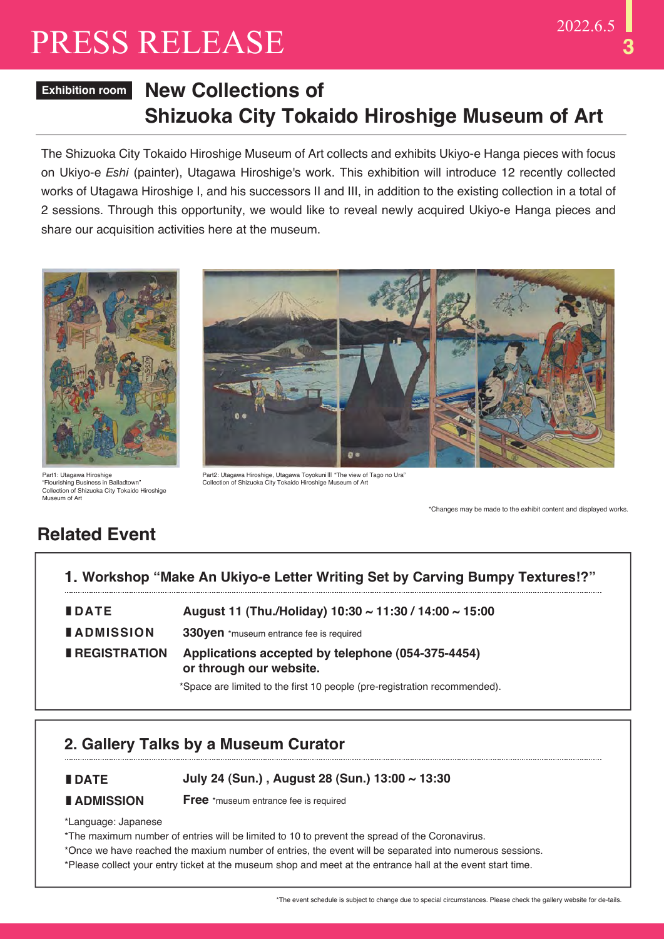# **3**

# PRESS RELEASE 2022.6.5

#### **New Collections of Shizuoka City Tokaido Hiroshige Museum of Art Exhibition room**

The Shizuoka City Tokaido Hiroshige Museum of Art collects and exhibits Ukiyo-e Hanga pieces with focus on Ukiyo-e *Eshi* (painter), Utagawa Hiroshige's work. This exhibition will introduce 12 recently collected works of Utagawa Hiroshige I, and his successors II and III, in addition to the existing collection in a total of 2 sessions. Through this opportunity, we would like to reveal newly acquired Ukiyo-e Hanga pieces and share our acquisition activities here at the museum.



Part1: Utagawa Hiroshige "Flourishing Business in Balladtown" Collection of Shizuoka City Tokaido Hiroshige Museum of Art



Part2: Utagawa Hiroshige, Utagawa Toyokuni ||| "The view of Tago no Ura"<br>Collection of Shizuoka City Tokaido Hiroshige Museum of Art

\*Changes may be made to the exhibit content and displayed works.

### **Related Event**

| 1. Workshop "Make An Ukiyo-e Letter Writing Set by Carving Bumpy Textures!?" |                                                                              |  |
|------------------------------------------------------------------------------|------------------------------------------------------------------------------|--|
| <b>IDATE</b>                                                                 | August 11 (Thu./Holiday) 10:30 ~ 11:30 / 14:00 ~ 15:00                       |  |
| <b>LADMISSION</b>                                                            | 330yen *museum entrance fee is required                                      |  |
| <b>REGISTRATION</b>                                                          | Applications accepted by telephone (054-375-4454)<br>or through our website. |  |
|                                                                              | *Space are limited to the first 10 people (pre-registration recommended).    |  |

#### **2. Gallery Talks by a Museum Curator**

#### **|DATE July 24 (Sun.) , August 28 (Sun.) 13:00 ~ 13:30**

#### **|ADMISSION**

**Free** \*museum entrance fee is required

\*Language: Japanese

\*The maximum number of entries will be limited to 10 to prevent the spread of the Coronavirus.

- \*Once we have reached the maxium number of entries, the event will be separated into numerous sessions.
- \*Please collect your entry ticket at the museum shop and meet at the entrance hall at the event start time.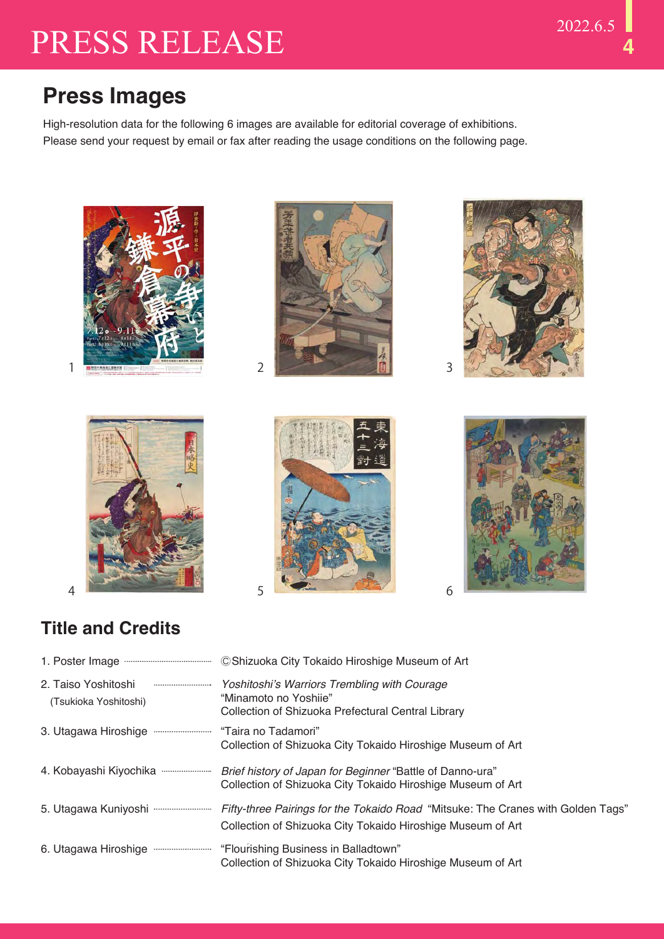## **Press Images**

High-resolution data for the following 6 images are available for editorial coverage of exhibitions. Please send your request by email or fax after reading the usage conditions on the following page.













### **Title and Credits**

| 2. Taiso Yoshitoshi<br>(Tsukioka Yoshitoshi) | Yoshitoshi's Warriors Trembling with Courage<br>"Minamoto no Yoshije"<br>Collection of Shizuoka Prefectural Central Library                                                       |
|----------------------------------------------|-----------------------------------------------------------------------------------------------------------------------------------------------------------------------------------|
|                                              | Collection of Shizuoka City Tokaido Hiroshige Museum of Art                                                                                                                       |
|                                              | Brief history of Japan for Beginner "Battle of Danno-ura"<br>Collection of Shizuoka City Tokaido Hiroshige Museum of Art                                                          |
|                                              | 5. Utagawa Kuniyoshi <b>www.wwwwww.proget Pairings for the Tokaido Road</b> "Mitsuke: The Cranes with Golden Tags"<br>Collection of Shizuoka City Tokaido Hiroshige Museum of Art |
|                                              | "Flourishing Business in Balladtown"<br>Collection of Shizuoka City Tokaido Hiroshige Museum of Art                                                                               |